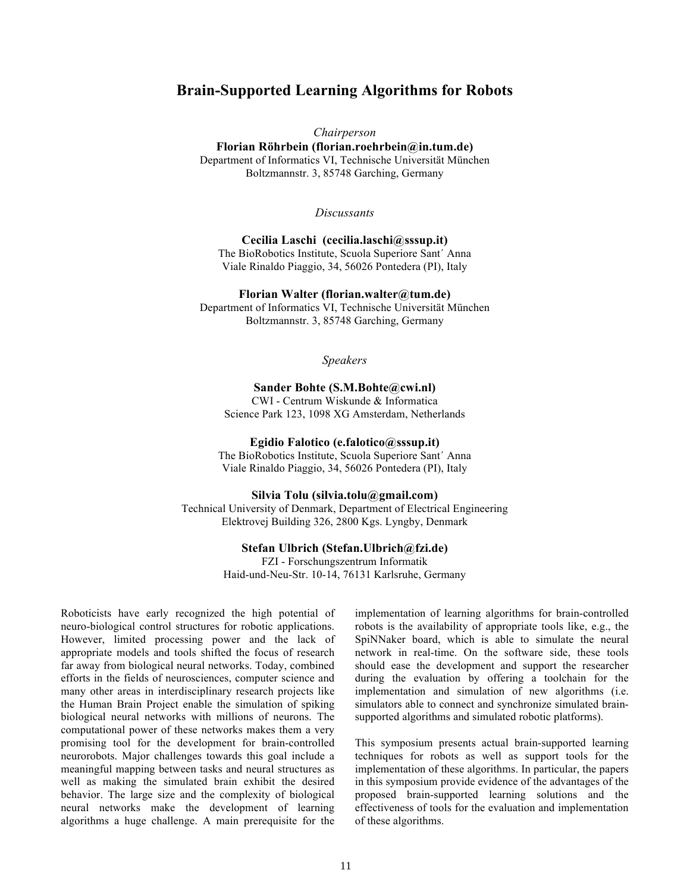# **Brain-Supported Learning Algorithms for Robots**

*Chairperson*

**Florian Röhrbein (florian.roehrbein@in.tum.de)** Department of Informatics VI, Technische Universität München Boltzmannstr. 3, 85748 Garching, Germany

*Discussants*

**Cecilia Laschi (cecilia.laschi@sssup.it)** The BioRobotics Institute, Scuola Superiore Sant´ Anna Viale Rinaldo Piaggio, 34, 56026 Pontedera (PI), Italy

#### **Florian Walter (florian.walter@tum.de)**

Department of Informatics VI, Technische Universität München Boltzmannstr. 3, 85748 Garching, Germany

*Speakers*

## **Sander Bohte (S.M.Bohte@cwi.nl)**

CWI - Centrum Wiskunde & Informatica Science Park 123, 1098 XG Amsterdam, Netherlands

#### **Egidio Falotico (e.falotico@sssup.it)**

The BioRobotics Institute, Scuola Superiore Sant´ Anna Viale Rinaldo Piaggio, 34, 56026 Pontedera (PI), Italy

#### **Silvia Tolu (silvia.tolu@gmail.com)**

Technical University of Denmark, Department of Electrical Engineering Elektrovej Building 326, 2800 Kgs. Lyngby, Denmark

#### **Stefan Ulbrich (Stefan.Ulbrich@fzi.de)**

FZI - Forschungszentrum Informatik Haid-und-Neu-Str. 10-14, 76131 Karlsruhe, Germany

Roboticists have early recognized the high potential of neuro-biological control structures for robotic applications. However, limited processing power and the lack of appropriate models and tools shifted the focus of research far away from biological neural networks. Today, combined efforts in the fields of neurosciences, computer science and many other areas in interdisciplinary research projects like the Human Brain Project enable the simulation of spiking biological neural networks with millions of neurons. The computational power of these networks makes them a very promising tool for the development for brain-controlled neurorobots. Major challenges towards this goal include a meaningful mapping between tasks and neural structures as well as making the simulated brain exhibit the desired behavior. The large size and the complexity of biological neural networks make the development of learning algorithms a huge challenge. A main prerequisite for the

implementation of learning algorithms for brain-controlled robots is the availability of appropriate tools like, e.g., the SpiNNaker board, which is able to simulate the neural network in real-time. On the software side, these tools should ease the development and support the researcher during the evaluation by offering a toolchain for the implementation and simulation of new algorithms (i.e. simulators able to connect and synchronize simulated brainsupported algorithms and simulated robotic platforms).

This symposium presents actual brain-supported learning techniques for robots as well as support tools for the implementation of these algorithms. In particular, the papers in this symposium provide evidence of the advantages of the proposed brain-supported learning solutions and the effectiveness of tools for the evaluation and implementation of these algorithms.